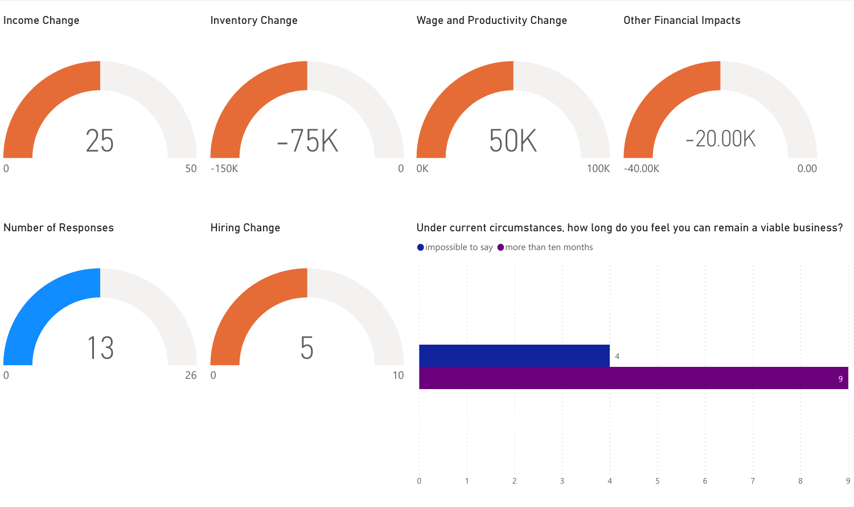